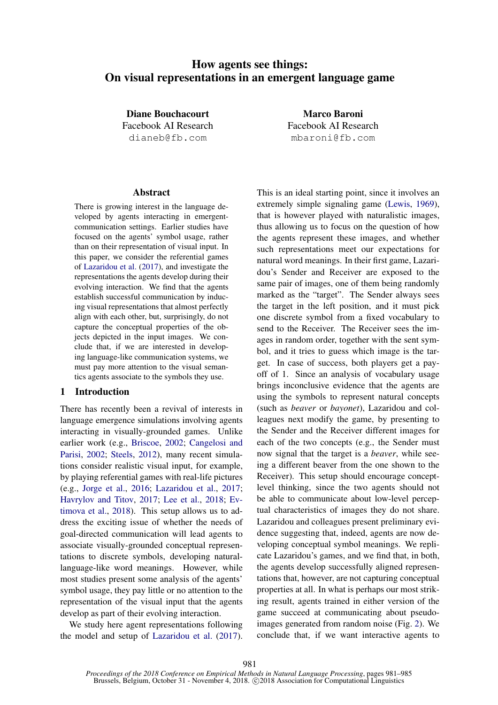# How agents see things: On visual representations in an emergent language game

Diane Bouchacourt Facebook AI Research dianeb@fb.com

Marco Baroni Facebook AI Research mbaroni@fb.com

### Abstract

There is growing interest in the language developed by agents interacting in emergentcommunication settings. Earlier studies have focused on the agents' symbol usage, rather than on their representation of visual input. In this paper, we consider the referential games of [Lazaridou et al.](#page-4-0) [\(2017\)](#page-4-0), and investigate the representations the agents develop during their evolving interaction. We find that the agents establish successful communication by inducing visual representations that almost perfectly align with each other, but, surprisingly, do not capture the conceptual properties of the objects depicted in the input images. We conclude that, if we are interested in developing language-like communication systems, we must pay more attention to the visual semantics agents associate to the symbols they use.

### 1 Introduction

There has recently been a revival of interests in language emergence simulations involving agents interacting in visually-grounded games. Unlike earlier work (e.g., [Briscoe,](#page-4-1) [2002;](#page-4-1) [Cangelosi and](#page-4-2) [Parisi,](#page-4-2) [2002;](#page-4-2) [Steels,](#page-4-3) [2012\)](#page-4-3), many recent simulations consider realistic visual input, for example, by playing referential games with real-life pictures (e.g., [Jorge et al.,](#page-4-4) [2016;](#page-4-4) [Lazaridou et al.,](#page-4-0) [2017;](#page-4-0) [Havrylov and Titov,](#page-4-5) [2017;](#page-4-5) [Lee et al.,](#page-4-6) [2018;](#page-4-6) [Ev](#page-4-7)[timova et al.,](#page-4-7) [2018\)](#page-4-7). This setup allows us to address the exciting issue of whether the needs of goal-directed communication will lead agents to associate visually-grounded conceptual representations to discrete symbols, developing naturallanguage-like word meanings. However, while most studies present some analysis of the agents' symbol usage, they pay little or no attention to the representation of the visual input that the agents develop as part of their evolving interaction.

We study here agent representations following the model and setup of [Lazaridou et al.](#page-4-0) [\(2017\)](#page-4-0). This is an ideal starting point, since it involves an extremely simple signaling game [\(Lewis,](#page-4-8) [1969\)](#page-4-8), that is however played with naturalistic images, thus allowing us to focus on the question of how the agents represent these images, and whether such representations meet our expectations for natural word meanings. In their first game, Lazaridou's Sender and Receiver are exposed to the same pair of images, one of them being randomly marked as the "target". The Sender always sees the target in the left position, and it must pick one discrete symbol from a fixed vocabulary to send to the Receiver. The Receiver sees the images in random order, together with the sent symbol, and it tries to guess which image is the target. In case of success, both players get a payoff of 1. Since an analysis of vocabulary usage brings inconclusive evidence that the agents are using the symbols to represent natural concepts (such as *beaver* or *bayonet*), Lazaridou and colleagues next modify the game, by presenting to the Sender and the Receiver different images for each of the two concepts (e.g., the Sender must now signal that the target is a *beaver*, while seeing a different beaver from the one shown to the Receiver). This setup should encourage conceptlevel thinking, since the two agents should not be able to communicate about low-level perceptual characteristics of images they do not share. Lazaridou and colleagues present preliminary evidence suggesting that, indeed, agents are now developing conceptual symbol meanings. We replicate Lazaridou's games, and we find that, in both, the agents develop successfully aligned representations that, however, are not capturing conceptual properties at all. In what is perhaps our most striking result, agents trained in either version of the game succeed at communicating about pseudoimages generated from random noise (Fig. [2\)](#page-3-0). We conclude that, if we want interactive agents to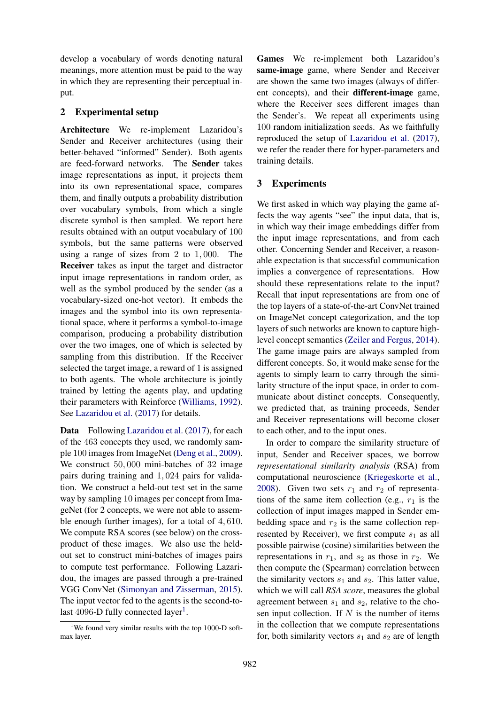develop a vocabulary of words denoting natural meanings, more attention must be paid to the way in which they are representing their perceptual input.

### 2 Experimental setup

Architecture We re-implement Lazaridou's Sender and Receiver architectures (using their better-behaved "informed" Sender). Both agents are feed-forward networks. The Sender takes image representations as input, it projects them into its own representational space, compares them, and finally outputs a probability distribution over vocabulary symbols, from which a single discrete symbol is then sampled. We report here results obtained with an output vocabulary of 100 symbols, but the same patterns were observed using a range of sizes from 2 to 1, 000. The Receiver takes as input the target and distractor input image representations in random order, as well as the symbol produced by the sender (as a vocabulary-sized one-hot vector). It embeds the images and the symbol into its own representational space, where it performs a symbol-to-image comparison, producing a probability distribution over the two images, one of which is selected by sampling from this distribution. If the Receiver selected the target image, a reward of 1 is assigned to both agents. The whole architecture is jointly trained by letting the agents play, and updating their parameters with Reinforce [\(Williams,](#page-4-9) [1992\)](#page-4-9). See [Lazaridou et al.](#page-4-0) [\(2017\)](#page-4-0) for details.

Data Following [Lazaridou et al.](#page-4-0) [\(2017\)](#page-4-0), for each of the 463 concepts they used, we randomly sample 100 images from ImageNet [\(Deng et al.,](#page-4-10) [2009\)](#page-4-10). We construct 50,000 mini-batches of 32 image pairs during training and 1, 024 pairs for validation. We construct a held-out test set in the same way by sampling 10 images per concept from ImageNet (for 2 concepts, we were not able to assemble enough further images), for a total of 4, 610. We compute RSA scores (see below) on the crossproduct of these images. We also use the heldout set to construct mini-batches of images pairs to compute test performance. Following Lazaridou, the images are passed through a pre-trained VGG ConvNet [\(Simonyan and Zisserman,](#page-4-11) [2015\)](#page-4-11). The input vector fed to the agents is the second-to-last 4096-D fully connected layer<sup>[1](#page-1-0)</sup>.

Games We re-implement both Lazaridou's same-image game, where Sender and Receiver are shown the same two images (always of different concepts), and their different-image game, where the Receiver sees different images than the Sender's. We repeat all experiments using 100 random initialization seeds. As we faithfully reproduced the setup of [Lazaridou et al.](#page-4-0) [\(2017\)](#page-4-0), we refer the reader there for hyper-parameters and training details.

## 3 Experiments

We first asked in which way playing the game affects the way agents "see" the input data, that is, in which way their image embeddings differ from the input image representations, and from each other. Concerning Sender and Receiver, a reasonable expectation is that successful communication implies a convergence of representations. How should these representations relate to the input? Recall that input representations are from one of the top layers of a state-of-the-art ConvNet trained on ImageNet concept categorization, and the top layers of such networks are known to capture highlevel concept semantics [\(Zeiler and Fergus,](#page-4-12) [2014\)](#page-4-12). The game image pairs are always sampled from different concepts. So, it would make sense for the agents to simply learn to carry through the similarity structure of the input space, in order to communicate about distinct concepts. Consequently, we predicted that, as training proceeds, Sender and Receiver representations will become closer to each other, and to the input ones.

In order to compare the similarity structure of input, Sender and Receiver spaces, we borrow *representational similarity analysis* (RSA) from computational neuroscience [\(Kriegeskorte et al.,](#page-4-13) [2008\)](#page-4-13). Given two sets  $r_1$  and  $r_2$  of representations of the same item collection (e.g.,  $r_1$  is the collection of input images mapped in Sender embedding space and  $r_2$  is the same collection represented by Receiver), we first compute  $s_1$  as all possible pairwise (cosine) similarities between the representations in  $r_1$ , and  $s_2$  as those in  $r_2$ . We then compute the (Spearman) correlation between the similarity vectors  $s_1$  and  $s_2$ . This latter value, which we will call *RSA score*, measures the global agreement between  $s_1$  and  $s_2$ , relative to the chosen input collection. If  $N$  is the number of items in the collection that we compute representations for, both similarity vectors  $s_1$  and  $s_2$  are of length

<span id="page-1-0"></span><sup>&</sup>lt;sup>1</sup>We found very similar results with the top 1000-D softmax layer.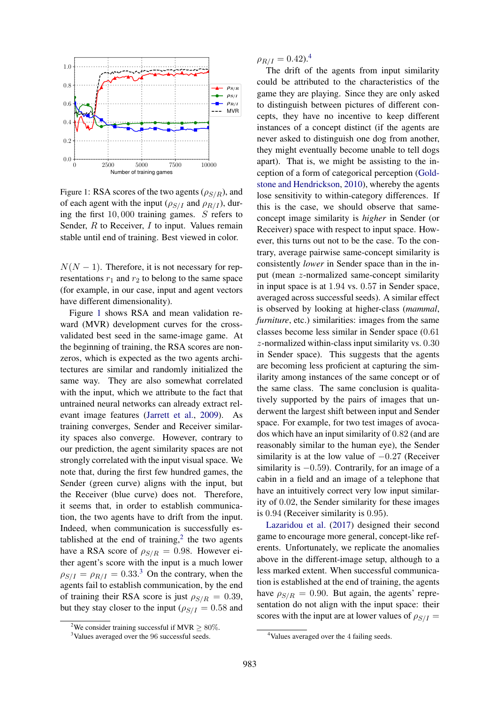<span id="page-2-0"></span>

Figure 1: RSA scores of the two agents ( $\rho_{S/R}$ ), and of each agent with the input ( $\rho_{S/I}$  and  $\rho_{R/I}$ ), during the first 10, 000 training games. S refers to Sender,  $R$  to Receiver,  $I$  to input. Values remain stable until end of training. Best viewed in color.

 $N(N-1)$ . Therefore, it is not necessary for representations  $r_1$  and  $r_2$  to belong to the same space (for example, in our case, input and agent vectors have different dimensionality).

Figure [1](#page-2-0) shows RSA and mean validation reward (MVR) development curves for the crossvalidated best seed in the same-image game. At the beginning of training, the RSA scores are nonzeros, which is expected as the two agents architectures are similar and randomly initialized the same way. They are also somewhat correlated with the input, which we attribute to the fact that untrained neural networks can already extract relevant image features [\(Jarrett et al.,](#page-4-14) [2009\)](#page-4-14). As training converges, Sender and Receiver similarity spaces also converge. However, contrary to our prediction, the agent similarity spaces are not strongly correlated with the input visual space. We note that, during the first few hundred games, the Sender (green curve) aligns with the input, but the Receiver (blue curve) does not. Therefore, it seems that, in order to establish communication, the two agents have to drift from the input. Indeed, when communication is successfully es-tablished at the end of training,<sup>[2](#page-2-1)</sup> the two agents have a RSA score of  $\rho_{S/R} = 0.98$ . However either agent's score with the input is a much lower  $\rho_{S/I} = \rho_{R/I} = 0.33$  $\rho_{S/I} = \rho_{R/I} = 0.33$  $\rho_{S/I} = \rho_{R/I} = 0.33$ <sup>3</sup> On the contrary, when the agents fail to establish communication, by the end of training their RSA score is just  $\rho_{S/R} = 0.39$ , but they stay closer to the input ( $\rho_{S/I} = 0.58$  and

 $\rho_{R/I} = 0.42$  $\rho_{R/I} = 0.42$  $\rho_{R/I} = 0.42$ .<sup>4</sup>

The drift of the agents from input similarity could be attributed to the characteristics of the game they are playing. Since they are only asked to distinguish between pictures of different concepts, they have no incentive to keep different instances of a concept distinct (if the agents are never asked to distinguish one dog from another, they might eventually become unable to tell dogs apart). That is, we might be assisting to the inception of a form of categorical perception [\(Gold](#page-4-15)[stone and Hendrickson,](#page-4-15) [2010\)](#page-4-15), whereby the agents lose sensitivity to within-category differences. If this is the case, we should observe that sameconcept image similarity is *higher* in Sender (or Receiver) space with respect to input space. However, this turns out not to be the case. To the contrary, average pairwise same-concept similarity is consistently *lower* in Sender space than in the input (mean z-normalized same-concept similarity in input space is at 1.94 vs. 0.57 in Sender space, averaged across successful seeds). A similar effect is observed by looking at higher-class (*mammal*, *furniture*, etc.) similarities: images from the same classes become less similar in Sender space (0.61 z-normalized within-class input similarity vs. 0.30 in Sender space). This suggests that the agents are becoming less proficient at capturing the similarity among instances of the same concept or of the same class. The same conclusion is qualitatively supported by the pairs of images that underwent the largest shift between input and Sender space. For example, for two test images of avocados which have an input similarity of 0.82 (and are reasonably similar to the human eye), the Sender similarity is at the low value of  $-0.27$  (Receiver similarity is  $-0.59$ ). Contrarily, for an image of a cabin in a field and an image of a telephone that have an intuitively correct very low input similarity of 0.02, the Sender similarity for these images is 0.94 (Receiver similarity is 0.95).

[Lazaridou et al.](#page-4-0) [\(2017\)](#page-4-0) designed their second game to encourage more general, concept-like referents. Unfortunately, we replicate the anomalies above in the different-image setup, although to a less marked extent. When successful communication is established at the end of training, the agents have  $\rho_{S/R} = 0.90$ . But again, the agents' representation do not align with the input space: their scores with the input are at lower values of  $\rho_{S/I}$  =

<span id="page-2-1"></span><sup>&</sup>lt;sup>2</sup>We consider training successful if MVR  $\geq 80\%$ .

<span id="page-2-2"></span><sup>&</sup>lt;sup>3</sup>Values averaged over the 96 successful seeds.

<span id="page-2-3"></span><sup>&</sup>lt;sup>4</sup>Values averaged over the 4 failing seeds.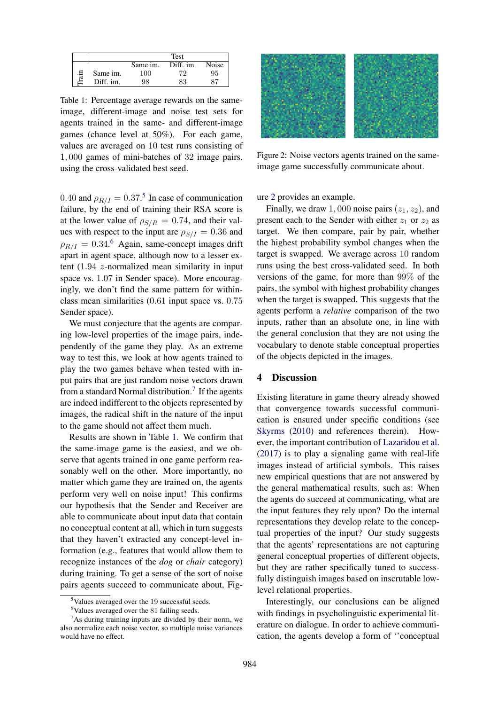<span id="page-3-4"></span>

|     |           |                | Test      |       |
|-----|-----------|----------------|-----------|-------|
|     |           | Same im.       | Diff. im. | Noise |
| ian | Same im.  | <sup>100</sup> | 70        | 95    |
|     | Diff. im. | 98             | 83        |       |

Table 1: Percentage average rewards on the sameimage, different-image and noise test sets for agents trained in the same- and different-image games (chance level at 50%). For each game, values are averaged on 10 test runs consisting of 1, 000 games of mini-batches of 32 image pairs, using the cross-validated best seed.

0.40 and  $\rho_{R/I} = 0.37$ .<sup>[5](#page-3-1)</sup> In case of communication failure, by the end of training their RSA score is at the lower value of  $\rho_{S/R} = 0.74$ , and their values with respect to the input are  $\rho_{S/I} = 0.36$  and  $\rho_{R/I} = 0.34$ .<sup>[6](#page-3-2)</sup> Again, same-concept images drift apart in agent space, although now to a lesser extent (1.94 z-normalized mean similarity in input space vs. 1.07 in Sender space). More encouragingly, we don't find the same pattern for withinclass mean similarities (0.61 input space vs. 0.75 Sender space).

We must conjecture that the agents are comparing low-level properties of the image pairs, independently of the game they play. As an extreme way to test this, we look at how agents trained to play the two games behave when tested with input pairs that are just random noise vectors drawn from a standard Normal distribution.<sup>[7](#page-3-3)</sup> If the agents are indeed indifferent to the objects represented by images, the radical shift in the nature of the input to the game should not affect them much.

Results are shown in Table [1.](#page-3-4) We confirm that the same-image game is the easiest, and we observe that agents trained in one game perform reasonably well on the other. More importantly, no matter which game they are trained on, the agents perform very well on noise input! This confirms our hypothesis that the Sender and Receiver are able to communicate about input data that contain no conceptual content at all, which in turn suggests that they haven't extracted any concept-level information (e.g., features that would allow them to recognize instances of the *dog* or *chair* category) during training. To get a sense of the sort of noise pairs agents succeed to communicate about, Fig-

<span id="page-3-0"></span>

Figure 2: Noise vectors agents trained on the sameimage game successfully communicate about.

ure [2](#page-3-0) provides an example.

Finally, we draw 1,000 noise pairs  $(z_1, z_2)$ , and present each to the Sender with either  $z_1$  or  $z_2$  as target. We then compare, pair by pair, whether the highest probability symbol changes when the target is swapped. We average across 10 random runs using the best cross-validated seed. In both versions of the game, for more than 99% of the pairs, the symbol with highest probability changes when the target is swapped. This suggests that the agents perform a *relative* comparison of the two inputs, rather than an absolute one, in line with the general conclusion that they are not using the vocabulary to denote stable conceptual properties of the objects depicted in the images.

### 4 Discussion

Existing literature in game theory already showed that convergence towards successful communication is ensured under specific conditions (see [Skyrms](#page-4-16) [\(2010\)](#page-4-16) and references therein). However, the important contribution of [Lazaridou et al.](#page-4-0) [\(2017\)](#page-4-0) is to play a signaling game with real-life images instead of artificial symbols. This raises new empirical questions that are not answered by the general mathematical results, such as: When the agents do succeed at communicating, what are the input features they rely upon? Do the internal representations they develop relate to the conceptual properties of the input? Our study suggests that the agents' representations are not capturing general conceptual properties of different objects, but they are rather specifically tuned to successfully distinguish images based on inscrutable lowlevel relational properties.

Interestingly, our conclusions can be aligned with findings in psycholinguistic experimental literature on dialogue. In order to achieve communication, the agents develop a form of ''conceptual

<span id="page-3-1"></span><sup>5</sup>Values averaged over the 19 successful seeds.

<span id="page-3-3"></span><span id="page-3-2"></span> $6$ Values averaged over the 81 failing seeds.

<sup>&</sup>lt;sup>7</sup>As during training inputs are divided by their norm, we also normalize each noise vector, so multiple noise variances would have no effect.